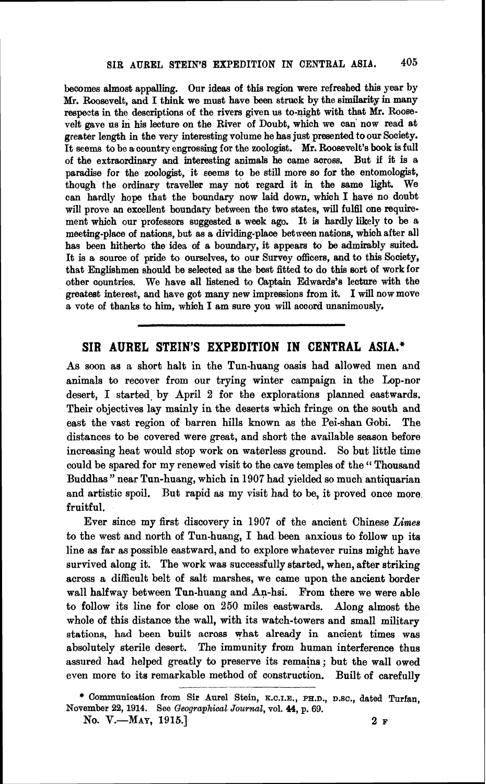becomes almost appalling. Our ideas of this region were refreshed this year by Mr. Roosevelt, and I think we must have heen struck by the similerity in many respects in the descriptions of the rivers given us to-night with that Mr. Roosevelt gave us in his lecture on the River of Doubt, which we can' now read at greater length in the very interesting volume he has just presented to our Society. It seems to be a country engrossing for the zoologist. Mr. Roosevelt's book is full of the extraordinary and interesting animals he came aoross. But if it is a paradise for the zoologist, it seems to be still more so for the entomologist, though the ordinary traveller may not regard it in the eame light. We can hardly hope that the boundary now laid down, which I have no doubt will prove **an** excellent boundary between the two states, will fulfil one requirement which our professors suggested a week ago. It is hardly likely to be a meeting-place of nations, but as a dividing-place between nations, which after all has been hitherto the idea of a boundary, it appears to be admirably suited. It is a source of pride to ourselves, to our Survey officers, and to this Society, that Englishmen should be selected as the best fitted to do this sort of work for other countries. We have a11 listened to Captain Edwards's lecture with the greatest interest, and have got many new impressions from it. I will now move a vote of thanks to him, which I am sure you will accord unanimously.

#### **SIR AUREL STEIN'S EXPEDITION IN CENTRAL ASIA.\***

As soon as a short halt in the Tun-huang oasis had allowed men and animals to recover from our trying winter campaign in the Lop-nor desert, I started by April 2 for the explorations planned eastwards. Their objectives lay mainly in the deserts which fringe on the south and east the vast region of barren hills known as the Pei-shan Gobi. The distances to be covered were great, and short the available season before increasing heat would stop work on waterless ground. 80 but little time could be spared for my renewed visit to the cave temples of the " Thousand Buddhas " near Tun-huang, which in 1907 had yielded so much antiquarian and artistic spoil. But rapid as my visit had to be, it proved once more fruitful.

Ever since my first discovery in 1907 of the ancient Chinese **Limes**  to the west and north of Tun-huang, I had been anxious to follow up its line **as** far as possible eastward, and to explore whatever ruins might have survived along it. The work was successfully started, when, after striking across a difficult belt of salt marshes, we came upon the ancient border wall halfway between Tun-huang and An-hsi. From there we were able to follow its line for close on 250 miles eastwards. Along almost the whole of this distance the wall, with its watch-towers and small military stations, had been built across what already in ancient times was absolutely sterile desert. The immunity from human interference thus assured had helped greatly to preserve its remains; but the wall owed even more to its remarkable method of construction. Built of carefully

<sup>\*</sup> Communication from Sir Aurel Stein, **K.C.I.E., PH.D.,** D.SC., dated Turfan, November 22, 1914. See *Oeographical Journal,* vol. *44,* p. 69.

No. V.—M<sub>AY</sub>, 1915.] 2 **F**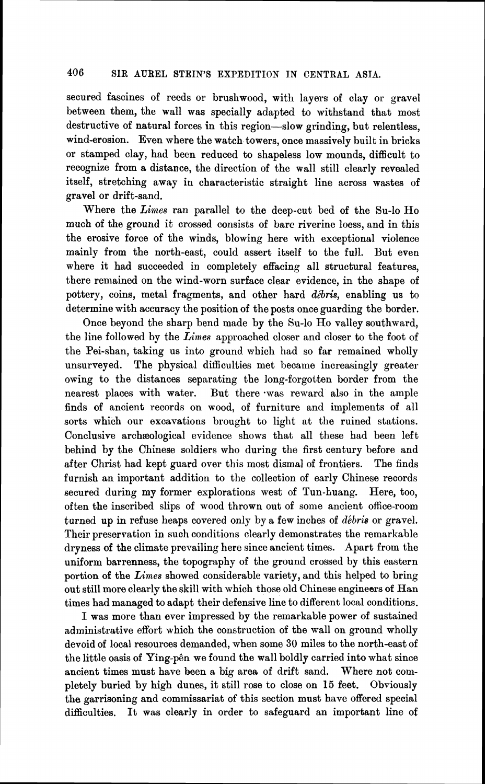## **406 SIR AUREL STEIN'S EXPEDITION IN CENTRAL ASIA.**

secured fascines of reeds or brushwood, with layers of clay or gravel between them, the wall was specially adapted to withstand that most destructive of natural forces in this region-slow grinding, but relentless, wind-erosion. Even where the watch towers, once massively built in bricks or stamped clay, had been reduced to shapeless low mounds, diflicult to recognize from a distance, the direction of the wall still clearly revealed itself, stretching away in characteristic straight line across wastes of gravel or drift-sand.

Where the Limes ran parallel to the deep-cut bed of the Su-lo Ho much of the ground it crossed consists of bare riverine loess, and in this the erosive force of the winds, blowing here with exceptional violence mainly from the north-east, could assert itself to the full. But even where it had succeeded in completely effacing all structural features, there remained on the wind-worn surface clear evidence, in the shape of pottery, coins, metal fragments, and other hard  $d\acute{e}b$ ris, enabling us to determine with accuracy the position of the posts once guarding the border.

Once beyond the sharp bend made by the Su-lo Ho valley southward, the line followed by the Limes approached closer and closer to the foot of the Pei-shan, taking us into ground, which had so far remained wholly unsurveyed. The physical difficulties met became increasingly greater owing to the distances separating the long-forgotten border from the nearest places with water. But there -was reward also in the ample finds of ancient records on wood, of furniture and implements of all sorts which our excavations brought to light at the ruined stations. Conclusive archaological evidence shows that all these had been left behind by the Chinese soldiers who during the first century before and after Christ had kept guard over this most dismal of frontiers. The finds furnish an important addition to the collection of early Chinese records secured during my former explorations west of Tun-huang. Here, too, often the inscribed slips of wood thrown out of some ancient ofice-room turned up in refuse heaps covered only by a few inches of *dgbris* or gravel. Their preservation in such conditions clearly demonstrates the remarkable dryness of the climate prevailing here since ancient times. Apart from the uniform barrenness, the topography of the ground crossed by this eastern portion of the **Limes** showed considerable variety, and this helped to bring out still more clearly the skill with which those old Chinese engineers of Han times had managed to adapt their defensive line to different local conditions.

I was more than ever impressed by the remarkable power of sustained administrative effort which the construction of tbe wall on ground wholly devoid of local resources demanded, when some 30 miles to the north-east of the little oasis of Ying-pên we found the wall boldly carried into what since ancient times must have been a big area of drift sand. Where not completely buried by high dunes, it still rose to close on 15 feet. Obviously the garrisoning and commissariat of this section must have offered special difficulties. It was clearly in order to safeguard an important line of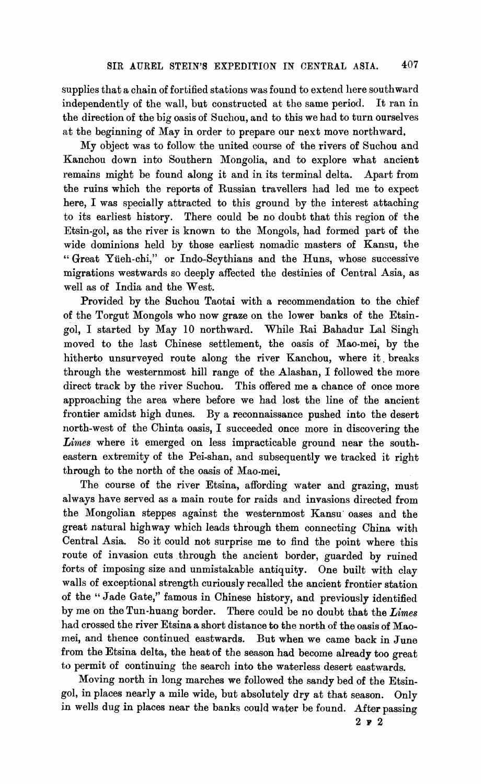supplies that a chain of fortified stations was found to extend here southward independently of the wall, but constructed at the same period. It ran in the direction of the big oasis of Suchou, and to this we had to turn ourselves at the beginning of May in order to prepare our next move northward.

My object was to follow the united course of the rivers of Suchou and Kanchou down into Southern Mongolia, and to explore what ancient remains might be found along it and in its terminal delta. Apart from the ruins which the reports of Russian travellers had led me to expect here, I was specially attracted to this ground by the interest attaching to its earliest history. There could be no doubt that this region of the Etsin-gol, as the river is known to the Mongols, had formed part of the wide dominions held by those earliest nomadic masters of Kansu, the "Great Yüeh-chi," or Indo-Scythians and the Huns, whose successive migrations westwards so deeply affected the destinies of Central Asia, as well as of India and the West.

Provided by the Suchou Taotai with a recommendation to the chief of the Torgut Mongols who now graze on the lower banks of the Etsingol, I started by May 10 northward. While Rai Bahadur La1 Singh moved to the last Chinese settlement, the oasis of Mao-mei, by the hitherto unsurveyed route along the river Kanchou, where it breaks through the westernmost hill range of the Alashan, I followed the more direct track by the river Suchou. This offered me a chance of once more approaching the area where before we had lost the line of the ancient frontier amidst high dunes. By a reconnaissance pushed into the desert north-west of the Chinta oasis, I succeeded once more in discovering the *Limes* where it emerged on less impracticable ground near the southeastern extremity of the Pei-shan, and subsequently we tracked it right through to the north of the oasis of Mao-mei.

The course of the river Etsina, affording water and grazing, must always have served as a main route for raids and invasions directed from the Mongolian steppes against the westernmost Kansu oases and the great natural highway which leads through them connecting China with Central Asia. So it could not surprise me to find the point where this route of invasion cuts through the ancient border, guarded by ruined forts of imposing size and unmistakable antiquity. One built with clay walls of exceptional strength curiously recalled the ancient frontier station of the "Jade Gate," famous in Chinese history, and previously identified by me on the Tun-huang border. There could be no doubt that the *Limes*  had crossed the river Etsina a short distance to the north of the oasis of Maomei, and thence continued eastwards. But when we came back in June from the Etsina delta, the heat of the season had become already too great to permit of continuing the search into the waterless desert eastwards.

Moving north in long marches we followed the sandy bed of the Etsingol, in places nearly a mile wide, but absolutely dry at that season. Only in wells dug in places near the banks could water be found. After passing

**2~2**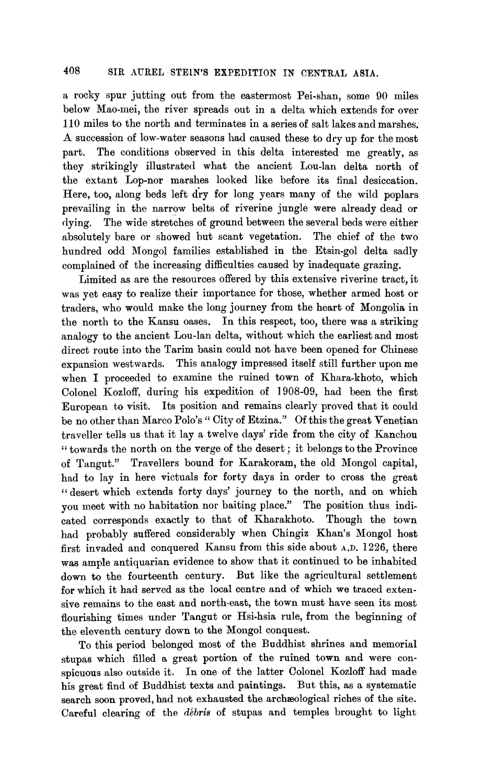### 408 SIR AUREL STEIN'S EXPEDITION IN CENTRAL ASIA.

a rocky spur jutting out from the eastermost Pei-shan, some 90 miles below Mao-mei, the river spreads out in **n,** delta which extends for over 110 miles to the north and terminates in a series of salt lakes and marshes. A succession of low-water seasons had caused these to dry up for themost part. The conditions observed in this delta interested me greatly, as they strikingly illustrated what the ancient Lou-lan delta north of the extant Lop-nor marshes looked like before its final desiccation. Here, too, along beds left dry for long years many of the wild poplars prevailing in the narrow belts of riverine jungle were already dead or dying. The wide stretches of ground between the several beds were either absolutely bare or showed but scant vegetation. The chief of the two hundred odd Mongol families established in the Etsin-gol delta sadly complained of the increasing difficulties caused by inadequate grazing.

Limited as are the resources offered by this extensive riverine tract, it was yet easy to realize their importance for those, whether armed host or traders, who would make the long journey from the heart of Mongolia in the north to the Kansu oases. In this respect, too, there was a striking analogy to the ancient Lou-lan delta, without which the earliest and most direct route into the Tarim basin could not have been opened for Chinese expansion westwards. This analogy impressed itself still further upon me when I proceeded to examine the ruined town of Khara-khoto, which Colonel Kozloff, during his expedition of 1908-09, had been the first European to visit. Its position and remains clearly proved that it could be no other than Marco Polo's " City of Etzina." Of this the great Venetian traveller tells us that it lay a twelve days' ride from the city of Kanchou towards the north on the verge of the desert ; it belongs to the Province of Tangut." Travellers bound for Karakoram, the old Mongol capital, had to lay in here victuals for forty days in order to cross the great "desert which extends forty days' journey to the north, and on which you meet with no habitation nor baiting place." The position thus indicated corresponds exactly to that of Kharakhoto. Though the town had probably suffered considerably when Chingiz Khan's Mongol host first invaded and conquered Kansu from this side about **a.n.** 1236, there was ample antiquarian evidence to show that it continued to be inhabited down to the fourteenth century. But like the agricultural settlement for which it had served as the local centre and of which we traced extensive remains to the east and north-east, the town must have seen its most flourishing times under Tangut or Hsi-hsia rule, from the beginning of the eleventh century down to the Mongol conquest.

To this period belonged most of the Buddhist shrines and memorial stupas which filled a great portion of the ruined town and were conspicuous also outside it. In one of the latter Colonel Kozloff had made his great find of Buddhist texts and paintings. But this, as a systematic search soon proved, had not exhausted the archeological riches of the site. Careful clearing of the *débris* of stupas and temples brought to light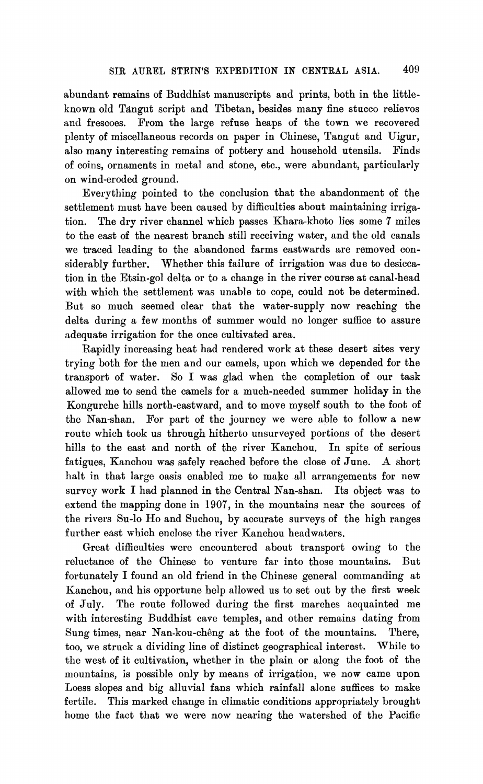abundant remains of Buddhist manuscripts and prints, both in the littleknown old Tangut script and Tibetan, besides many fine stucco relievos and frescoes. From the large refuse heaps of the town we recovered plenty of miscellaneous records on paper in Chinese, Tangut and Uigur, also many interesting remains of pottery and household utensils. Finds of coins, ornaments in n~etal and stone, etc., were abundant, particularly on wind-eroded ground.

Everything pointed to the conclusion that the abandonment of the settlement must have been caused by difficulties about maintaining irrigation. The dry river channel which passes Khara-khoto lies some **7** miles to the east of the nearest branch still receiving water, and the old canals we traced leading to the abandoned farms eastwards are removed considerably further. Whether this failure of irrigation was due to desiccation in the Etsin-go1 delta or to a change in the river course at canal-head with which the settlement was unable to cope, could not be determined. But so much seemed clear that the water-supply now reaching the delta during a few months of summer would no longer suffice to assure adequate irrigation for the once cultivated area.

Rapidly increasing heat had rendered work at these desert sites very trying both for the men and our camels, upon which we depended for the transport of water. So I was glad when the completion of our task allowed me to send the camels for a much-needed summer holiday in the Kongurche hills north-eastward, and to move myself south to the foot of the Nan-shan. For part of the journey we were able to follow a new route which took us through hitherto unsurveyed portions of the desert hills to the east and north of the river Kanchou. In spite of serious fatigues, Kanchou was safely reached before the close of June. A short halt in that large oasis enabled me to make all arrangements for new survey work I had planned in the Central Nan-shan. Its object was to extend the mapping done in 1907, in the mountains near the sources of the rivers Su-lo Ho and Suchou, by accurate surveys of the high ranges further east which enclose the river Kanchou headwaters.

Great difficulties were encountered about transport owing to the reluctance of the Chinese to venture far into those mountains. But fortunately I found an old friend in the Chinese general commanding at Kanchou, and his opportune help allowed us to set out by the first week of July. The route followed during the first marches acquainted me with interesting Buddhist cave temples, and other remains dating from Sung times, near Nan-kou-chêng at the foot of the mountains. There, too, we struck a dividing line of distinct geographical interest. While to the west of it cultivation, whether in the plain or along the foot of the mountains, is possible only by means of irrigation, we now came upon Loess slopes and big alluvial fans which rainfall alone sufices to make fertile. This marked change in climatic conditions appropriately brought home the fact that we were now nearing the watershed of the Pacific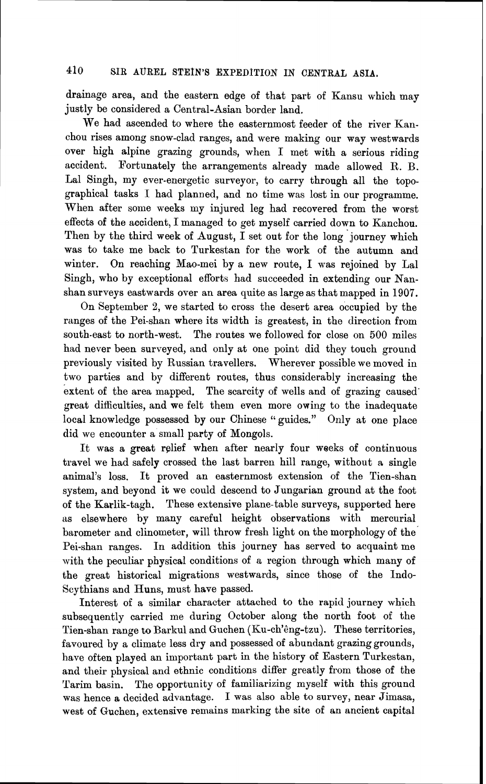# **410 SIR AUREL STEIN'S EXPEDITION IN CENTRAL ASIA.**

drainage area, and the eastern edge of that part of Kansu which may justly be considered a Central-Asian border land.

We had ascended to where the easternmost feeder of the river Kanchou rises among snow-clad ranges, and were making our way westwards over high alpine grazing grounds, when I met with a serious riding accident. Fortunately the arrangements already made allowed R. B. La1 Singh, my ever-energetic surveyor, to carry through all the topographical tasks **L** had planned, and no time was lost in our programme. When after some weeks my injured leg had recovered from the worst effects of the accident, I managed to get myself carried down to Kanchou. Then by the third week of August, I set out for the long journey which was to take me back to Turkestan for the work of the autumn and winter. On reaching Mao-mei by a new route, I was rejoined by La1 Singh, who by exceptional efforts had succeeded in extending our Nanshan surveys eastwards over an area quite as large as that mapped in 1907.

On September 2, we started to cross the desert area occupied by the ranges of the Pei-shan where its width is greatest, in the direction from south-east to north-west. The routes we followed for close on 500 miles had never been surveyed, and only at one point did they touch ground previously visited by Russian travellers. Wherever possible we moved in two parties and by different routes, thus considerably increasing the extent of the area mapped. The scarcity of wells and of grazing caused great difficulties, and we felt them even more owing to the inadequate local knowledge possessed by our Chinese "guides." Only at one place did we encounter a small party of Mongols.

It was a great rglief when after nearly four weeks of continuous travel we had safely crossed the last barren hill range, without a single animal's loss. It proved an easternmost extension of the Tien-shan system, and beyond it we could descend to Jungarian ground at the foot of the Karlik-tagh. These extensive plane-table surveys, supported here as elsewhere by many careful height observations with mercurial barometer and clinometer, will throw fresh light on the morphology of the Pei-shan ranges. In addition this journey has served to acquaint me with the peculiar physical conditions of a region through which many of the great historical migrations westwards, since those of the Indo-Scythians and Huns, must have passed.

Interest of a similar character attached to the rapid journey which subsequently carried me during October along the north foot of the Tien-shan range to Barkul and Guchen (Ku-ch'êng-tzu). These territories, favoured by a climate less dry and possessed of abundant grazing grounds, have often played an important part in the history of Eastern Turkestan, and their physical and ethnic conditions differ greatly from those of the Tarim basin. The opportunity of familiarizing myself with this ground was hence a decided advantage. I was also able to survey, near Jimasa, west of Quchen, extensive remains marking the site of an ancient capital